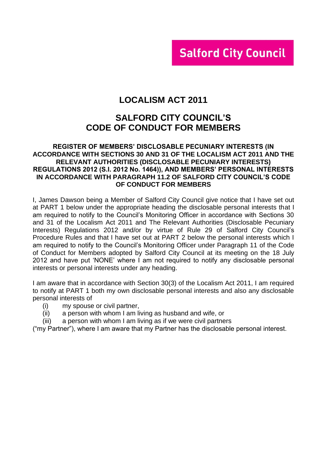# **Salford City Council**

# **LOCALISM ACT 2011**

# **SALFORD CITY COUNCIL'S CODE OF CONDUCT FOR MEMBERS**

#### **REGISTER OF MEMBERS' DISCLOSABLE PECUNIARY INTERESTS (IN ACCORDANCE WITH SECTIONS 30 AND 31 OF THE LOCALISM ACT 2011 AND THE RELEVANT AUTHORITIES (DISCLOSABLE PECUNIARY INTERESTS) REGULATIONS 2012 (S.I. 2012 No. 1464)), AND MEMBERS' PERSONAL INTERESTS IN ACCORDANCE WITH PARAGRAPH 11.2 OF SALFORD CITY COUNCIL'S CODE OF CONDUCT FOR MEMBERS**

I, James Dawson being a Member of Salford City Council give notice that I have set out at PART 1 below under the appropriate heading the disclosable personal interests that I am required to notify to the Council's Monitoring Officer in accordance with Sections 30 and 31 of the Localism Act 2011 and The Relevant Authorities (Disclosable Pecuniary Interests) Regulations 2012 and/or by virtue of Rule 29 of Salford City Council's Procedure Rules and that I have set out at PART 2 below the personal interests which I am required to notify to the Council's Monitoring Officer under Paragraph 11 of the Code of Conduct for Members adopted by Salford City Council at its meeting on the 18 July 2012 and have put 'NONE' where I am not required to notify any disclosable personal interests or personal interests under any heading.

I am aware that in accordance with Section 30(3) of the Localism Act 2011, I am required to notify at PART 1 both my own disclosable personal interests and also any disclosable personal interests of

- (i) my spouse or civil partner,
- (ii) a person with whom I am living as husband and wife, or
- (iii) a person with whom I am living as if we were civil partners

("my Partner"), where I am aware that my Partner has the disclosable personal interest.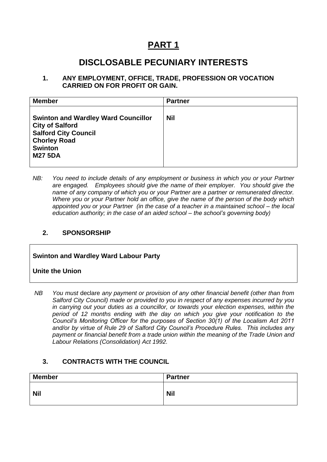# **PART 1**

# **DISCLOSABLE PECUNIARY INTERESTS**

#### **1. ANY EMPLOYMENT, OFFICE, TRADE, PROFESSION OR VOCATION CARRIED ON FOR PROFIT OR GAIN.**

| <b>Member</b>                                                                                                                                                  | <b>Partner</b> |
|----------------------------------------------------------------------------------------------------------------------------------------------------------------|----------------|
| <b>Swinton and Wardley Ward Councillor</b><br><b>City of Salford</b><br><b>Salford City Council</b><br><b>Chorley Road</b><br><b>Swinton</b><br><b>M27 5DA</b> | <b>Nil</b>     |

*NB: You need to include details of any employment or business in which you or your Partner are engaged. Employees should give the name of their employer. You should give the name of any company of which you or your Partner are a partner or remunerated director. Where you or your Partner hold an office, give the name of the person of the body which appointed you or your Partner (in the case of a teacher in a maintained school – the local education authority; in the case of an aided school – the school's governing body)*

#### **2. SPONSORSHIP**

#### **Swinton and Wardley Ward Labour Party**

**Unite the Union**

*NB You must* declare *any payment or provision of any other financial benefit (other than from Salford City Council) made or provided to you in respect of any expenses incurred by you in carrying out your duties as a councillor, or towards your election expenses, within the period of 12 months ending with the day on which you give your notification to the Council's Monitoring Officer for the purposes of Section 30(1) of the Localism Act 2011 and/or by virtue of Rule 29 of Salford City Council's Procedure Rules. This includes any payment or financial benefit from a trade union within the meaning of the Trade Union and Labour Relations (Consolidation) Act 1992.* 

#### **3. CONTRACTS WITH THE COUNCIL**

| <b>Member</b> | <b>Partner</b> |
|---------------|----------------|
| <b>Nil</b>    | <b>Nil</b>     |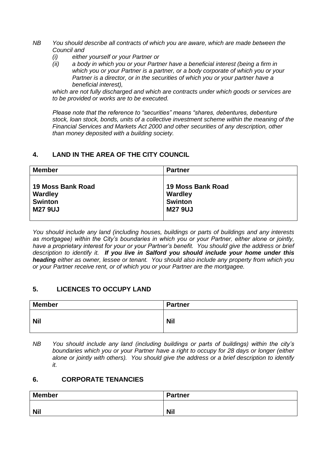- *NB You should describe all contracts of which you are aware, which are made between the Council and* 
	- *(i) either yourself or your Partner or*
	- *(ii) a body in which you or your Partner have a beneficial interest (being a firm in which you or your Partner is a partner, or a body corporate of which you or your Partner is a director, or in the securities of which you or your partner have a beneficial interest),*

*which are not fully discharged and which are contracts under which goods or services are to be provided or works are to be executed.*

*Please note that the reference to "securities" means "shares, debentures, debenture stock, loan stock, bonds, units of a collective investment scheme within the meaning of the Financial Services and Markets Act 2000 and other securities of any description, other than money deposited with a building society.*

#### **4. LAND IN THE AREA OF THE CITY COUNCIL**

| <b>Member</b>     | <b>Partner</b>    |
|-------------------|-------------------|
| 19 Moss Bank Road | 19 Moss Bank Road |
| <b>Wardley</b>    | <b>Wardley</b>    |
| <b>Swinton</b>    | <b>Swinton</b>    |
| <b>M27 9UJ</b>    | <b>M27 9UJ</b>    |

*You should include any land (including houses, buildings or parts of buildings and any interests as mortgagee) within the City's boundaries in which you or your Partner, either alone or jointly, have a proprietary interest for your or your Partner's benefit. You should give the address or brief description to identify it. If you live in Salford you should include your home under this heading either as owner, lessee or tenant. You should also include any property from which you or your Partner receive rent, or of which you or your Partner are the mortgagee.*

#### **5. LICENCES TO OCCUPY LAND**

| <b>Member</b> | <b>Partner</b> |
|---------------|----------------|
| <b>Nil</b>    | <b>Nil</b>     |

*NB You should include any land (including buildings or parts of buildings) within the city's boundaries which you or your Partner have a right to occupy for 28 days or longer (either alone or jointly with others). You should give the address or a brief description to identify it.*

#### **6. CORPORATE TENANCIES**

| <b>Member</b> | <b>Partner</b> |
|---------------|----------------|
| <b>Nil</b>    | <b>Nil</b>     |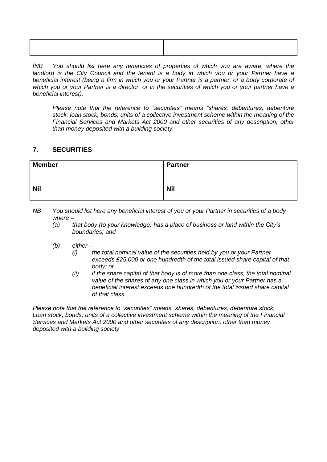| the contract of the contract of the contract of the contract of the contract of the contract of the contract of |
|-----------------------------------------------------------------------------------------------------------------|
|                                                                                                                 |
|                                                                                                                 |
|                                                                                                                 |
|                                                                                                                 |
|                                                                                                                 |
|                                                                                                                 |
|                                                                                                                 |

*[NB You should list here any tenancies of properties of which you are aware, where the*  landlord is the City Council and the tenant is a body in which you or your Partner have a *beneficial interest (being a firm in which you or your Partner is a partner, or a body corporate of which you or your Partner is a director, or in the securities of which you or your partner have a beneficial interest).* 

*Please note that the reference to "securities" means "shares, debentures, debenture stock, loan stock, bonds, units of a collective investment scheme within the meaning of the Financial Services and Markets Act 2000 and other securities of any description, other than money deposited with a building society.*

#### **7. SECURITIES**

| <b>Member</b> | <b>Partner</b> |
|---------------|----------------|
|               |                |
| <b>Nil</b>    | <b>Nil</b>     |
|               |                |

*NB You should list here any beneficial interest of you or your Partner in securities of a body where –*

- *(a) that body (to your knowledge) has a place of business or land within the City's boundaries; and*
- *(b) either –*
	- *(i) the total nominal value of the securities held by you or your Partner exceeds £25,000 or one hundredth of the total issued share capital of that body; or*
	- *(ii) if the share capital of that body is of more than one class, the total nominal value of the shares of any one class in which you or your Partner has a beneficial interest exceeds one hundredth of the total issued share capital of that class.*

*Please note that the reference to "securities" means "shares, debentures, debenture stock, Loan stock, bonds, units of a collective investment scheme within the meaning of the Financial Services and Markets Act 2000 and other securities of any description, other than money deposited with a building society*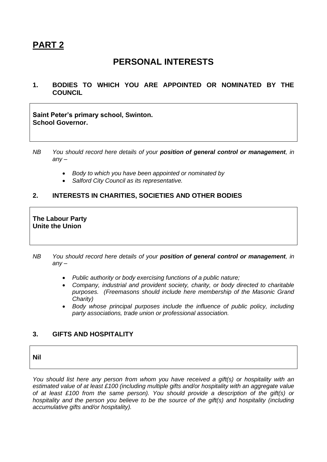# **PART 2**

# **PERSONAL INTERESTS**

**1. BODIES TO WHICH YOU ARE APPOINTED OR NOMINATED BY THE COUNCIL**

**Saint Peter's primary school, Swinton. School Governor.**

- *NB You should record here details of your position of general control or management, in any –*
	- *Body to which you have been appointed or nominated by*
	- *Salford City Council as its representative.*

#### **2. INTERESTS IN CHARITIES, SOCIETIES AND OTHER BODIES**

#### **The Labour Party Unite the Union**

- *NB You should record here details of your position of general control or management, in any –*
	- *Public authority or body exercising functions of a public nature;*
	- *Company, industrial and provident society, charity, or body directed to charitable purposes. (Freemasons should include here membership of the Masonic Grand Charity)*
	- *Body whose principal purposes include the influence of public policy, including party associations, trade union or professional association.*

#### **3. GIFTS AND HOSPITALITY**

**Nil**

*You should list here any person from whom you have received a gift(s) or hospitality with an estimated value of at least £100 (including multiple gifts and/or hospitality with an aggregate value of at least £100 from the same person). You should provide a description of the gift(s) or hospitality and the person you believe to be the source of the gift(s) and hospitality (including accumulative gifts and/or hospitality).*